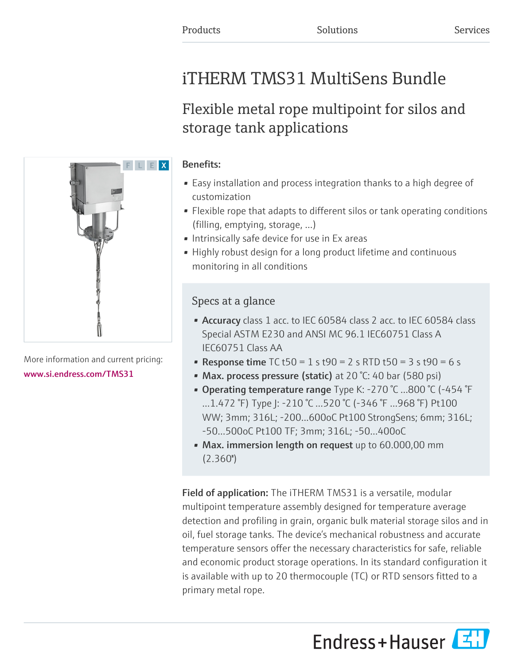# iTHERM TMS31 MultiSens Bundle

# Flexible metal rope multipoint for silos and storage tank applications

# $\blacksquare$  F  $\blacksquare$  X

More information and current pricing: [www.si.endress.com/TMS31](https://www.si.endress.com/TMS31)

# Benefits:

- Easy installation and process integration thanks to a high degree of customization
- Flexible rope that adapts to different silos or tank operating conditions (filling, emptying, storage, …)
- Intrinsically safe device for use in Ex areas
- Highly robust design for a long product lifetime and continuous monitoring in all conditions

# Specs at a glance

- Accuracy class 1 acc. to IEC 60584 class 2 acc. to IEC 60584 class Special ASTM E230 and ANSI MC 96.1 IEC60751 Class A IEC60751 Class AA
- Response time  $TC$  t50 = 1 s t90 = 2 s RTD t50 = 3 s t90 = 6 s
- Max. process pressure (static) at 20 °C: 40 bar (580 psi)
- Operating temperature range Type K: -270 °C …800 °C (-454 °F …1.472 °F) Type J: -210 °C …520 °C (-346 °F …968 °F) Pt100 WW; 3mm; 316L; -200...600oC Pt100 StrongSens; 6mm; 316L; -50…500oC Pt100 TF; 3mm; 316L; -50…400oC
- Max. immersion length on request up to 60.000,00 mm  $(2.360")$

Field of application: The iTHERM TMS31 is a versatile, modular multipoint temperature assembly designed for temperature average detection and profiling in grain, organic bulk material storage silos and in oil, fuel storage tanks. The device's mechanical robustness and accurate temperature sensors offer the necessary characteristics for safe, reliable and economic product storage operations. In its standard configuration it is available with up to 20 thermocouple (TC) or RTD sensors fitted to a primary metal rope.

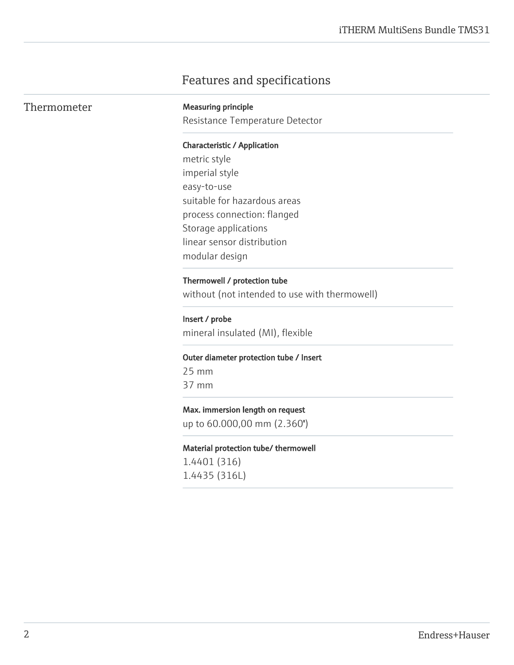# Features and specifications

| Thermometer | <b>Measuring principle</b><br>Resistance Temperature Detector |
|-------------|---------------------------------------------------------------|
|             | <b>Characteristic / Application</b>                           |
|             | metric style                                                  |
|             | imperial style                                                |
|             | easy-to-use                                                   |
|             | suitable for hazardous areas                                  |
|             | process connection: flanged                                   |
|             | Storage applications                                          |
|             | linear sensor distribution                                    |
|             | modular design                                                |
|             | Thermowell / protection tube                                  |
|             | without (not intended to use with thermowell)                 |
|             | Insert / probe                                                |
|             | mineral insulated (MI), flexible                              |
|             | Outer diameter protection tube / Insert                       |
|             | $25$ mm                                                       |
|             | 37 mm                                                         |
|             | Max. immersion length on request                              |
|             | up to 60.000,00 mm (2.360")                                   |
|             | Material protection tube/ thermowell                          |
|             | 1.4401 (316)                                                  |
|             | 1.4435 (316L)                                                 |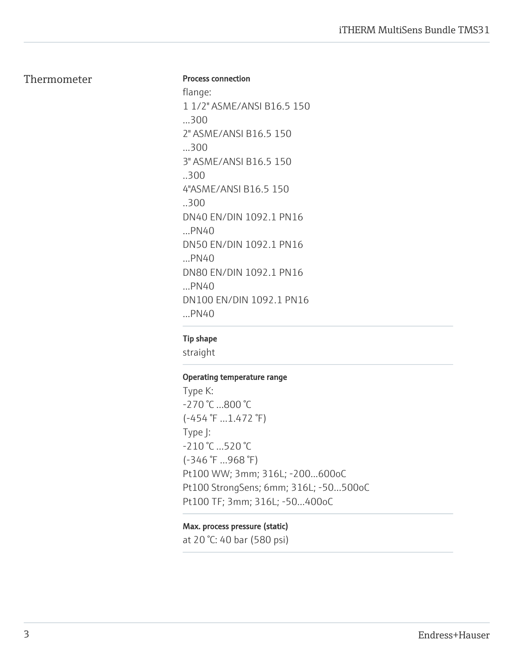### Thermometer

### Process connection

flange: 1 1/2" ASME/ANSI B16.5 150 ...300 2" ASME/ANSI B16.5 150 ...300 3" ASME/ANSI B16.5 150 ..300 4"ASME/ANSI B16.5 150 ..300 DN40 EN/DIN 1092.1 PN16 ...PN40 DN50 EN/DIN 1092.1 PN16 ...PN40 DN80 EN/DIN 1092.1 PN16 ...PN40 DN100 EN/DIN 1092.1 PN16 ...PN40

### Tip shape

straight

### Operating temperature range

Type K: -270 °C …800 °C (-454 °F …1.472 °F) Type J: -210 °C …520 °C (-346 °F …968 °F) Pt100 WW; 3mm; 316L; -200...600oC Pt100 StrongSens; 6mm; 316L; -50…500oC Pt100 TF; 3mm; 316L; -50…400oC

### Max. process pressure (static)

at 20 °C: 40 bar (580 psi)